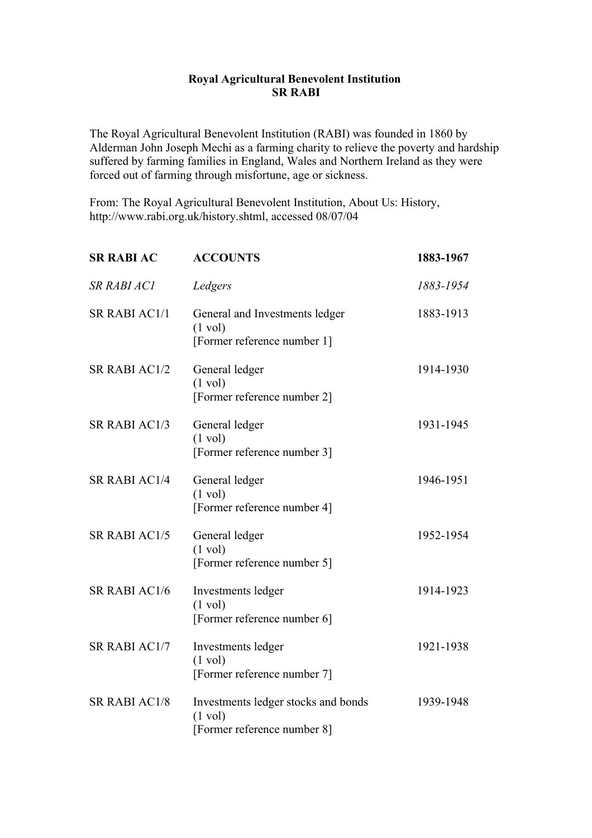## **Royal Agricultural Benevolent Institution SR RABI**

The Royal Agricultural Benevolent Institution (RABI) was founded in 1860 by Alderman John Joseph Mechi as a farming charity to relieve the poverty and hardship suffered by farming families in England, Wales and Northern Ireland as they were forced out of farming through misfortune, age or sickness.

From: The Royal Agricultural Benevolent Institution, About Us: History, http://www.rabi.org.uk/history.shtml, accessed 08/07/04

| <b>SR RABI AC</b>    | <b>ACCOUNTS</b>                                                                         | 1883-1967 |
|----------------------|-----------------------------------------------------------------------------------------|-----------|
| SR RABI AC1          | Ledgers                                                                                 | 1883-1954 |
| SR RABI AC1/1        | General and Investments ledger<br>$(1 \text{ vol})$<br>[Former reference number 1]      | 1883-1913 |
| SR RABI AC1/2        | General ledger<br>$(1 \text{ vol})$<br>[Former reference number 2]                      | 1914-1930 |
| SR RABI AC1/3        | General ledger<br>$(1 \text{ vol})$<br>[Former reference number 3]                      | 1931-1945 |
| <b>SR RABI AC1/4</b> | General ledger<br>$(1 \text{ vol})$<br>[Former reference number 4]                      | 1946-1951 |
| <b>SR RABI AC1/5</b> | General ledger<br>$(1 \text{ vol})$<br>[Former reference number 5]                      | 1952-1954 |
| SR RABI AC1/6        | Investments ledger<br>$(1 \text{ vol})$<br>[Former reference number 6]                  | 1914-1923 |
| SR RABI AC1/7        | Investments ledger<br>$(1 \text{ vol})$<br>[Former reference number 7]                  | 1921-1938 |
| <b>SR RABI AC1/8</b> | Investments ledger stocks and bonds<br>$(1 \text{ vol})$<br>[Former reference number 8] | 1939-1948 |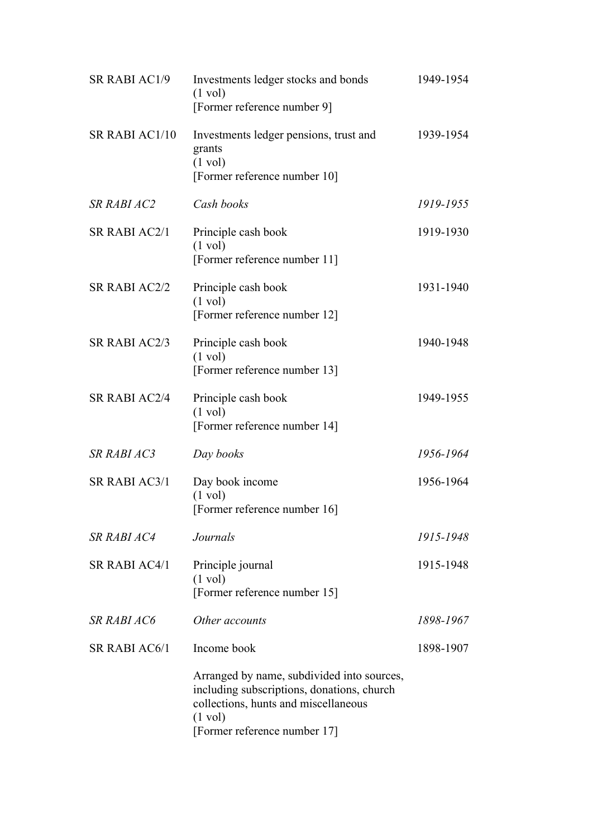| <b>SR RABI AC1/9</b> | Investments ledger stocks and bonds<br>$(1 \text{ vol})$<br>[Former reference number 9]                                                                                               | 1949-1954 |
|----------------------|---------------------------------------------------------------------------------------------------------------------------------------------------------------------------------------|-----------|
| SR RABI AC1/10       | Investments ledger pensions, trust and<br>grants<br>$(1 \text{ vol})$<br>[Former reference number 10]                                                                                 | 1939-1954 |
| SR RABI AC2          | Cash books                                                                                                                                                                            | 1919-1955 |
| SR RABI AC2/1        | Principle cash book<br>$(1 \text{ vol})$<br>[Former reference number 11]                                                                                                              | 1919-1930 |
| <b>SR RABI AC2/2</b> | Principle cash book<br>$(1 \text{ vol})$<br>[Former reference number 12]                                                                                                              | 1931-1940 |
| SR RABI AC2/3        | Principle cash book<br>$(1 \text{ vol})$<br>[Former reference number 13]                                                                                                              | 1940-1948 |
| <b>SR RABI AC2/4</b> | Principle cash book<br>$(1 \text{ vol})$<br>[Former reference number 14]                                                                                                              | 1949-1955 |
| <b>SR RABI AC3</b>   | Day books                                                                                                                                                                             | 1956-1964 |
| SR RABI AC3/1        | Day book income<br>$(1 \text{ vol})$<br>[Former reference number 16]                                                                                                                  | 1956-1964 |
| SR RABI AC4          | Journals                                                                                                                                                                              | 1915-1948 |
| SR RABI AC4/1        | Principle journal<br>$(1 \text{ vol})$<br>[Former reference number 15]                                                                                                                | 1915-1948 |
| <b>SR RABI AC6</b>   | Other accounts                                                                                                                                                                        | 1898-1967 |
| SR RABI AC6/1        | Income book                                                                                                                                                                           | 1898-1907 |
|                      | Arranged by name, subdivided into sources,<br>including subscriptions, donations, church<br>collections, hunts and miscellaneous<br>$(1 \text{ vol})$<br>[Former reference number 17] |           |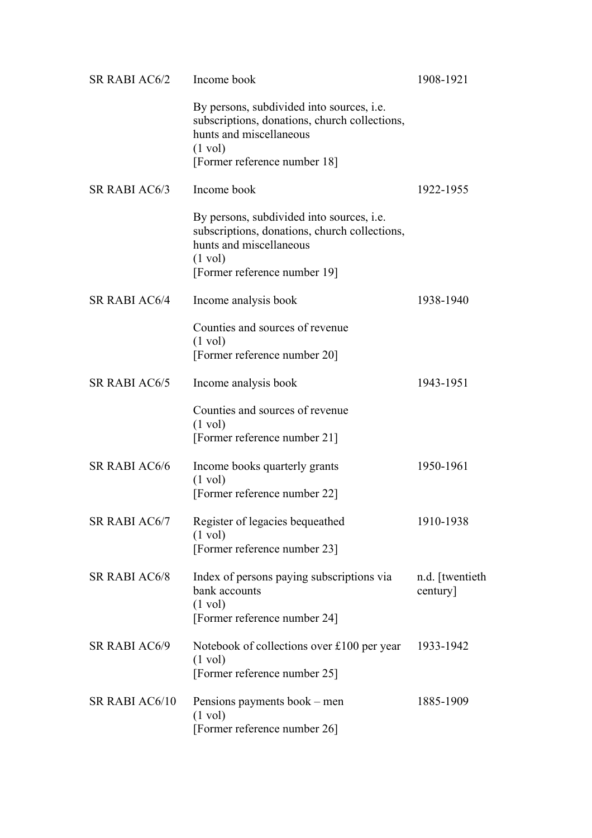| SR RABI AC6/2        | Income book                                                                                                                                                                       | 1908-1921                  |
|----------------------|-----------------------------------------------------------------------------------------------------------------------------------------------------------------------------------|----------------------------|
|                      | By persons, subdivided into sources, <i>i.e.</i><br>subscriptions, donations, church collections,<br>hunts and miscellaneous<br>$(1 \text{ vol})$<br>[Former reference number 18] |                            |
| SR RABI AC6/3        | Income book                                                                                                                                                                       | 1922-1955                  |
|                      | By persons, subdivided into sources, <i>i.e.</i><br>subscriptions, donations, church collections,<br>hunts and miscellaneous<br>$(1 \text{ vol})$<br>[Former reference number 19] |                            |
| <b>SR RABI AC6/4</b> | Income analysis book                                                                                                                                                              | 1938-1940                  |
|                      | Counties and sources of revenue<br>$(1 \text{ vol})$<br>[Former reference number 20]                                                                                              |                            |
| <b>SR RABI AC6/5</b> | Income analysis book                                                                                                                                                              | 1943-1951                  |
|                      | Counties and sources of revenue<br>$(1 \text{ vol})$<br>[Former reference number 21]                                                                                              |                            |
| <b>SR RABI AC6/6</b> | Income books quarterly grants<br>$(1 \text{ vol})$<br>[Former reference number 22]                                                                                                | 1950-1961                  |
| SR RABI AC6/7        | Register of legacies bequeathed<br>$(1 \text{ vol})$<br>[Former reference number 23]                                                                                              | 1910-1938                  |
| <b>SR RABI AC6/8</b> | Index of persons paying subscriptions via<br>bank accounts<br>$(1 \text{ vol})$<br>[Former reference number 24]                                                                   | n.d. [twentieth<br>century |
| <b>SR RABI AC6/9</b> | Notebook of collections over £100 per year<br>$(1 \text{ vol})$<br>[Former reference number 25]                                                                                   | 1933-1942                  |
| SR RABI AC6/10       | Pensions payments book – men<br>$(1 \text{ vol})$<br>[Former reference number 26]                                                                                                 | 1885-1909                  |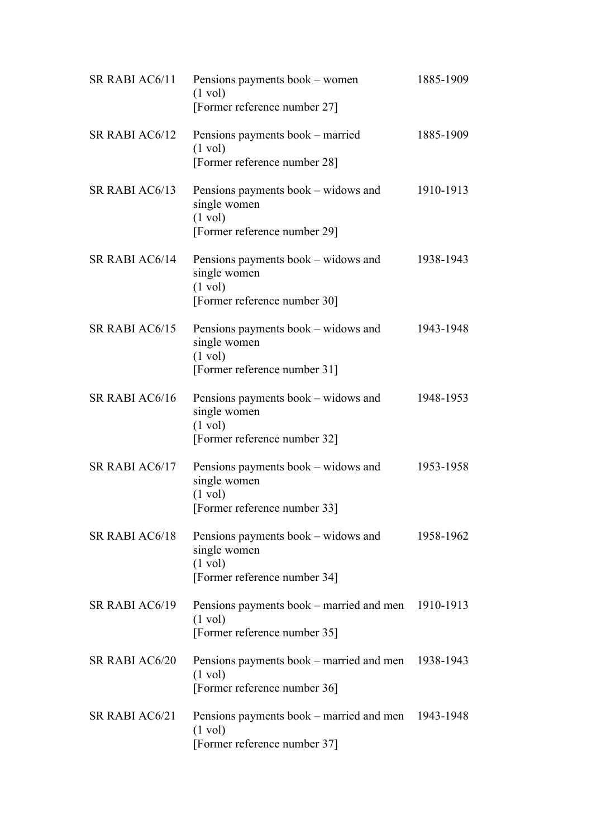| SR RABI AC6/11        | Pensions payments book – women<br>$(1 \text{ vol})$<br>[Former reference number 27]                      | 1885-1909 |
|-----------------------|----------------------------------------------------------------------------------------------------------|-----------|
| SR RABI AC6/12        | Pensions payments book – married<br>$(1 \text{ vol})$<br>[Former reference number 28]                    | 1885-1909 |
| SR RABI AC6/13        | Pensions payments book – widows and<br>single women<br>$(1 \text{ vol})$<br>[Former reference number 29] | 1910-1913 |
| SR RABI AC6/14        | Pensions payments book – widows and<br>single women<br>$(1 \text{ vol})$<br>[Former reference number 30] | 1938-1943 |
| SR RABI AC6/15        | Pensions payments book – widows and<br>single women<br>$(1 \text{ vol})$<br>[Former reference number 31] | 1943-1948 |
| SR RABI AC6/16        | Pensions payments book – widows and<br>single women<br>$(1 \text{ vol})$<br>[Former reference number 32] | 1948-1953 |
| SR RABI AC6/17        | Pensions payments book – widows and<br>single women<br>$(1 \text{ vol})$<br>[Former reference number 33] | 1953-1958 |
| SR RABI AC6/18        | Pensions payments book – widows and<br>single women<br>$(1 \text{ vol})$<br>[Former reference number 34] | 1958-1962 |
| SR RABI AC6/19        | Pensions payments book – married and men 1910-1913<br>$(1 \text{ vol})$<br>[Former reference number 35]  |           |
| <b>SR RABI AC6/20</b> | Pensions payments book – married and men<br>$(1 \text{ vol})$<br>[Former reference number 36]            | 1938-1943 |
| SR RABI AC6/21        | Pensions payments book – married and men 1943-1948<br>$(1 \text{ vol})$<br>[Former reference number 37]  |           |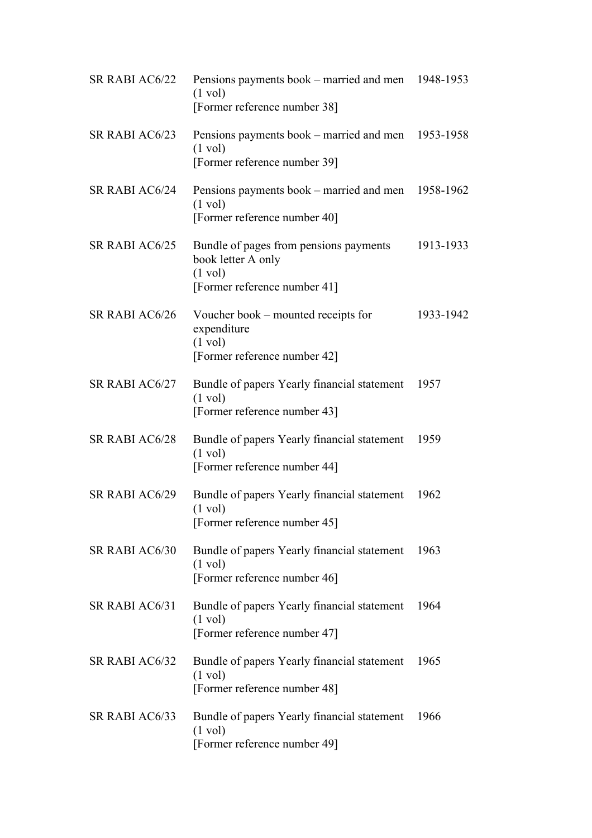| SR RABI AC6/22 | Pensions payments book – married and men 1948-1953<br>$(1 \text{ vol})$<br>[Former reference number 38]           |           |
|----------------|-------------------------------------------------------------------------------------------------------------------|-----------|
| SR RABI AC6/23 | Pensions payments book – married and men 1953-1958<br>$(1 \text{ vol})$<br>[Former reference number 39]           |           |
| SR RABI AC6/24 | Pensions payments book – married and men 1958-1962<br>$(1 \text{ vol})$<br>[Former reference number 40]           |           |
| SR RABI AC6/25 | Bundle of pages from pensions payments<br>book letter A only<br>$(1 \text{ vol})$<br>[Former reference number 41] | 1913-1933 |
| SR RABI AC6/26 | Voucher book – mounted receipts for<br>expenditure<br>$(1 \text{ vol})$<br>[Former reference number 42]           | 1933-1942 |
| SR RABI AC6/27 | Bundle of papers Yearly financial statement<br>$(1 \text{ vol})$<br>[Former reference number 43]                  | 1957      |
| SR RABI AC6/28 | Bundle of papers Yearly financial statement<br>$(1 \text{ vol})$<br>[Former reference number 44]                  | 1959      |
| SR RABI AC6/29 | Bundle of papers Yearly financial statement<br>$(1 \text{ vol})$<br>[Former reference number 45]                  | 1962      |
| SR RABI AC6/30 | Bundle of papers Yearly financial statement<br>$(1 \text{ vol})$<br>[Former reference number 46]                  | 1963      |
| SR RABI AC6/31 | Bundle of papers Yearly financial statement<br>$(1 \text{ vol})$<br>[Former reference number 47]                  | 1964      |
| SR RABI AC6/32 | Bundle of papers Yearly financial statement<br>$(1 \text{ vol})$<br>[Former reference number 48]                  | 1965      |
| SR RABI AC6/33 | Bundle of papers Yearly financial statement<br>$(1 \text{ vol})$<br>[Former reference number 49]                  | 1966      |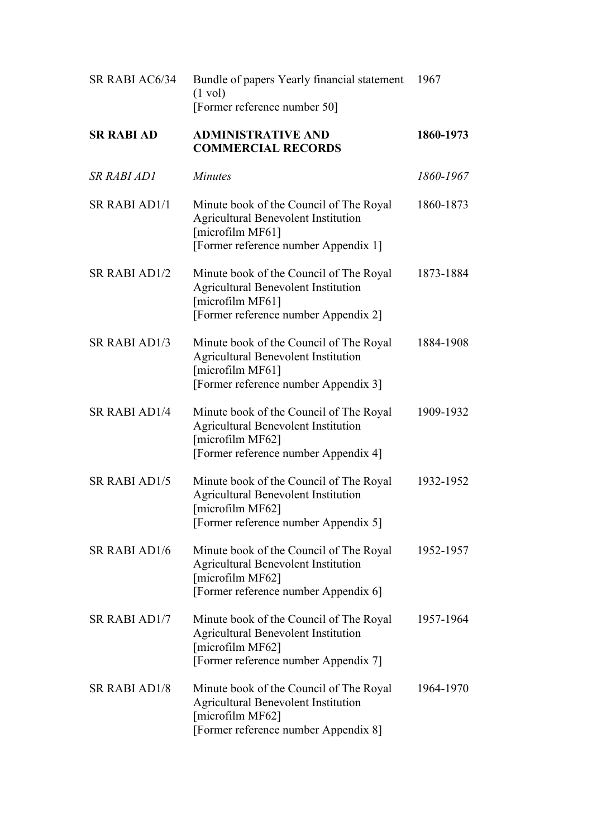| SR RABI AC6/34       | Bundle of papers Yearly financial statement<br>$(1 \text{ vol})$<br>[Former reference number 50]                                                  | 1967      |
|----------------------|---------------------------------------------------------------------------------------------------------------------------------------------------|-----------|
| <b>SR RABI AD</b>    | <b>ADMINISTRATIVE AND</b><br><b>COMMERCIAL RECORDS</b>                                                                                            | 1860-1973 |
| <b>SR RABI AD1</b>   | <b>Minutes</b>                                                                                                                                    | 1860-1967 |
| <b>SR RABI AD1/1</b> | Minute book of the Council of The Royal<br><b>Agricultural Benevolent Institution</b><br>[microfilm MF61]<br>[Former reference number Appendix 1] | 1860-1873 |
| <b>SR RABI AD1/2</b> | Minute book of the Council of The Royal<br><b>Agricultural Benevolent Institution</b><br>[microfilm MF61]<br>[Former reference number Appendix 2] | 1873-1884 |
| <b>SR RABI AD1/3</b> | Minute book of the Council of The Royal<br><b>Agricultural Benevolent Institution</b><br>[microfilm MF61]<br>[Former reference number Appendix 3] | 1884-1908 |
| <b>SR RABI AD1/4</b> | Minute book of the Council of The Royal<br><b>Agricultural Benevolent Institution</b><br>[microfilm MF62]<br>[Former reference number Appendix 4] | 1909-1932 |
| <b>SR RABI AD1/5</b> | Minute book of the Council of The Royal<br><b>Agricultural Benevolent Institution</b><br>microfilm MF62]<br>[Former reference number Appendix 5]  | 1932-1952 |
| <b>SR RABI AD1/6</b> | Minute book of the Council of The Royal<br><b>Agricultural Benevolent Institution</b><br>[microfilm MF62]<br>[Former reference number Appendix 6] | 1952-1957 |
| <b>SR RABI AD1/7</b> | Minute book of the Council of The Royal<br><b>Agricultural Benevolent Institution</b><br>[microfilm MF62]<br>[Former reference number Appendix 7] | 1957-1964 |
| <b>SR RABI AD1/8</b> | Minute book of the Council of The Royal<br><b>Agricultural Benevolent Institution</b><br>[microfilm MF62]<br>[Former reference number Appendix 8] | 1964-1970 |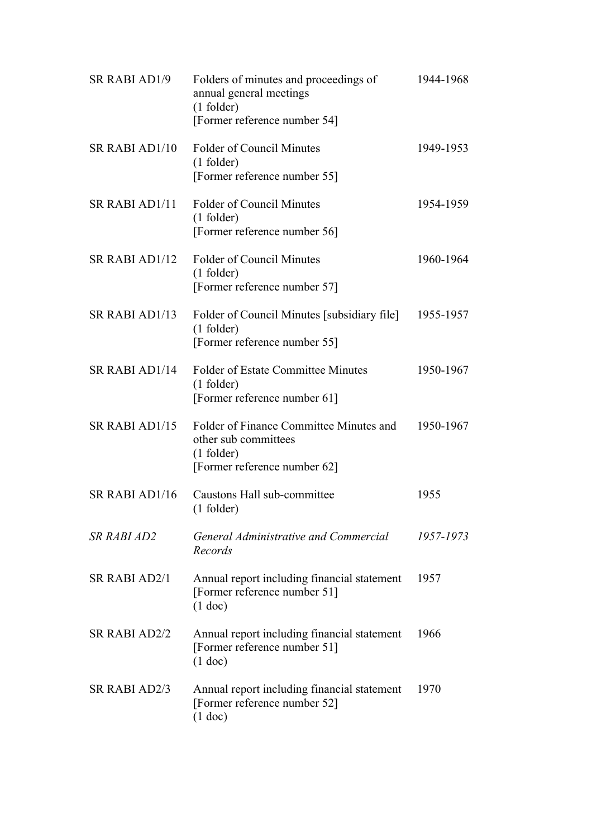| <b>SR RABI AD1/9</b>  | Folders of minutes and proceedings of<br>annual general meetings<br>$(1$ folder)<br>[Former reference number 54] | 1944-1968 |
|-----------------------|------------------------------------------------------------------------------------------------------------------|-----------|
| <b>SR RABI AD1/10</b> | <b>Folder of Council Minutes</b><br>$(1$ folder)<br>[Former reference number 55]                                 | 1949-1953 |
| SR RABI AD1/11        | <b>Folder of Council Minutes</b><br>$(1$ folder)<br>[Former reference number 56]                                 | 1954-1959 |
| SR RABI AD1/12        | <b>Folder of Council Minutes</b><br>$(1$ folder)<br>[Former reference number 57]                                 | 1960-1964 |
| SR RABI AD1/13        | Folder of Council Minutes [subsidiary file]<br>$(1$ folder)<br>[Former reference number 55]                      | 1955-1957 |
| SR RABI AD1/14        | <b>Folder of Estate Committee Minutes</b><br>$(1$ folder)<br>[Former reference number 61]                        | 1950-1967 |
| SR RABI AD1/15        | Folder of Finance Committee Minutes and<br>other sub committees<br>$(1$ folder)<br>[Former reference number 62]  | 1950-1967 |
| SR RABI AD1/16        | Caustons Hall sub-committee<br>$(1$ folder)                                                                      | 1955      |
| <b>SR RABI AD2</b>    | General Administrative and Commercial<br>Records                                                                 | 1957-1973 |
| <b>SR RABI AD2/1</b>  | Annual report including financial statement<br>[Former reference number 51]<br>$(1$ doc)                         | 1957      |
| <b>SR RABI AD2/2</b>  | Annual report including financial statement<br>[Former reference number 51]<br>$(1$ doc)                         | 1966      |
| <b>SR RABI AD2/3</b>  | Annual report including financial statement<br>[Former reference number 52]<br>$(1$ doc)                         | 1970      |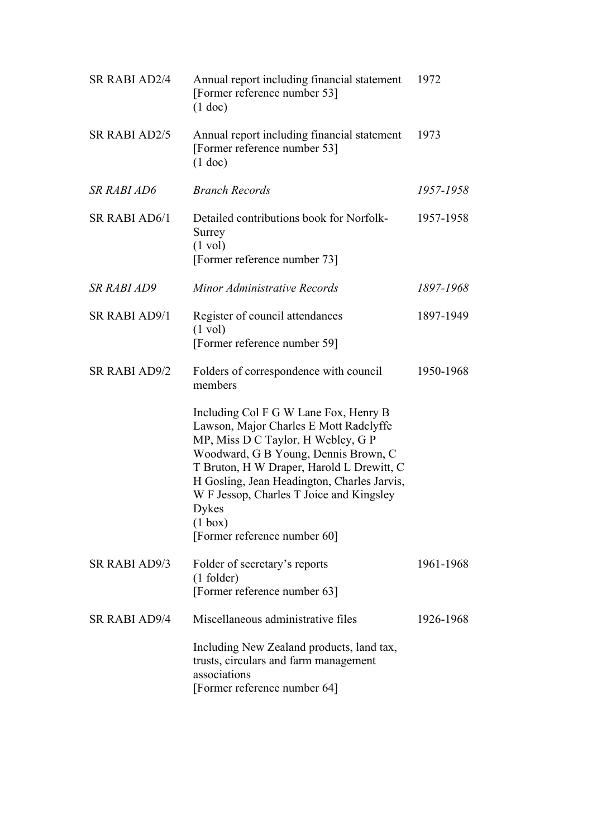| <b>SR RABI AD2/4</b> | Annual report including financial statement<br>[Former reference number 53]<br>$(1$ doc)                                                                                                                                                                                                                                                                  | 1972      |
|----------------------|-----------------------------------------------------------------------------------------------------------------------------------------------------------------------------------------------------------------------------------------------------------------------------------------------------------------------------------------------------------|-----------|
| <b>SR RABI AD2/5</b> | Annual report including financial statement<br>[Former reference number 53]<br>$(1$ doc)                                                                                                                                                                                                                                                                  | 1973      |
| <b>SR RABI AD6</b>   | <b>Branch Records</b>                                                                                                                                                                                                                                                                                                                                     | 1957-1958 |
| <b>SR RABI AD6/1</b> | Detailed contributions book for Norfolk-<br>Surrey<br>$(1 \text{ vol})$<br>[Former reference number 73]                                                                                                                                                                                                                                                   | 1957-1958 |
| <b>SR RABI AD9</b>   | Minor Administrative Records                                                                                                                                                                                                                                                                                                                              | 1897-1968 |
| <b>SR RABI AD9/1</b> | Register of council attendances<br>$(1 \text{ vol})$<br>[Former reference number 59]                                                                                                                                                                                                                                                                      | 1897-1949 |
| <b>SR RABI AD9/2</b> | Folders of correspondence with council<br>members                                                                                                                                                                                                                                                                                                         | 1950-1968 |
|                      | Including Col F G W Lane Fox, Henry B<br>Lawson, Major Charles E Mott Radclyffe<br>MP, Miss D C Taylor, H Webley, G P<br>Woodward, G B Young, Dennis Brown, C<br>T Bruton, H W Draper, Harold L Drewitt, C<br>H Gosling, Jean Headington, Charles Jarvis,<br>W F Jessop, Charles T Joice and Kingsley<br>Dykes<br>(1 box)<br>[Former reference number 60] |           |
| <b>SR RABI AD9/3</b> | Folder of secretary's reports<br>$(1$ folder)<br>[Former reference number 63]                                                                                                                                                                                                                                                                             | 1961-1968 |
| <b>SR RABI AD9/4</b> | Miscellaneous administrative files                                                                                                                                                                                                                                                                                                                        | 1926-1968 |
|                      | Including New Zealand products, land tax,<br>trusts, circulars and farm management<br>associations<br>[Former reference number 64]                                                                                                                                                                                                                        |           |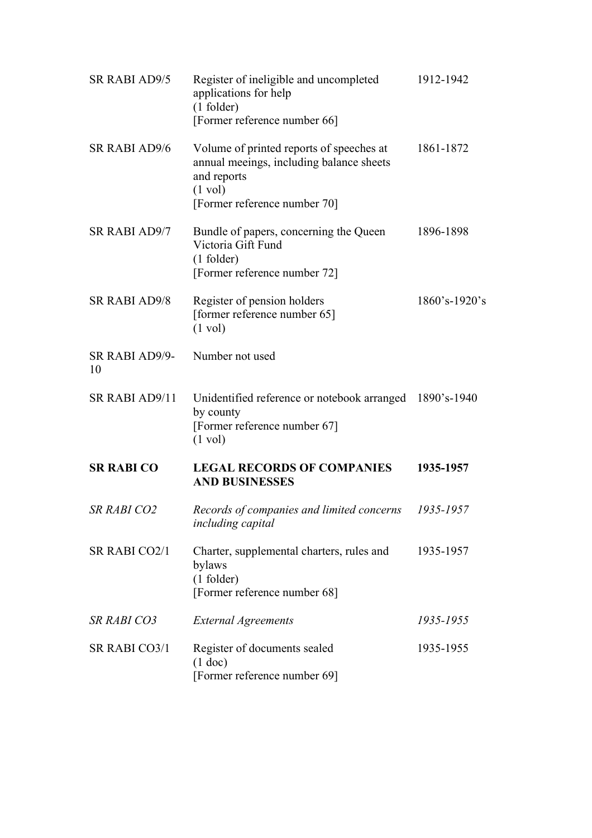| <b>SR RABI AD9/5</b> | Register of ineligible and uncompleted<br>applications for help<br>$(1$ folder)<br>[Former reference number 66]                                          | 1912-1942     |
|----------------------|----------------------------------------------------------------------------------------------------------------------------------------------------------|---------------|
| <b>SR RABI AD9/6</b> | Volume of printed reports of speeches at<br>annual meeings, including balance sheets<br>and reports<br>$(1 \text{ vol})$<br>[Former reference number 70] | 1861-1872     |
| <b>SR RABI AD9/7</b> | Bundle of papers, concerning the Queen<br>Victoria Gift Fund<br>$(1$ folder)<br>[Former reference number 72]                                             | 1896-1898     |
| <b>SR RABI AD9/8</b> | Register of pension holders<br>[former reference number 65]<br>$(1 \text{ vol})$                                                                         | 1860's-1920's |
| SR RABI AD9/9-<br>10 | Number not used                                                                                                                                          |               |
| SR RABI AD9/11       | Unidentified reference or notebook arranged 1890's-1940<br>by county<br>[Former reference number 67]<br>$(1 \text{ vol})$                                |               |
| <b>SR RABI CO</b>    | <b>LEGAL RECORDS OF COMPANIES</b><br><b>AND BUSINESSES</b>                                                                                               | 1935-1957     |
| <b>SR RABI CO2</b>   | Records of companies and limited concerns<br>including capital                                                                                           | 1935-1957     |
| SR RABI CO2/1        | Charter, supplemental charters, rules and<br>bylaws<br>$(1$ folder)<br>[Former reference number 68]                                                      | 1935-1957     |
| <b>SR RABI CO3</b>   | <b>External Agreements</b>                                                                                                                               | 1935-1955     |
| SR RABI CO3/1        | Register of documents sealed<br>$(1$ doc)<br>[Former reference number 69]                                                                                | 1935-1955     |